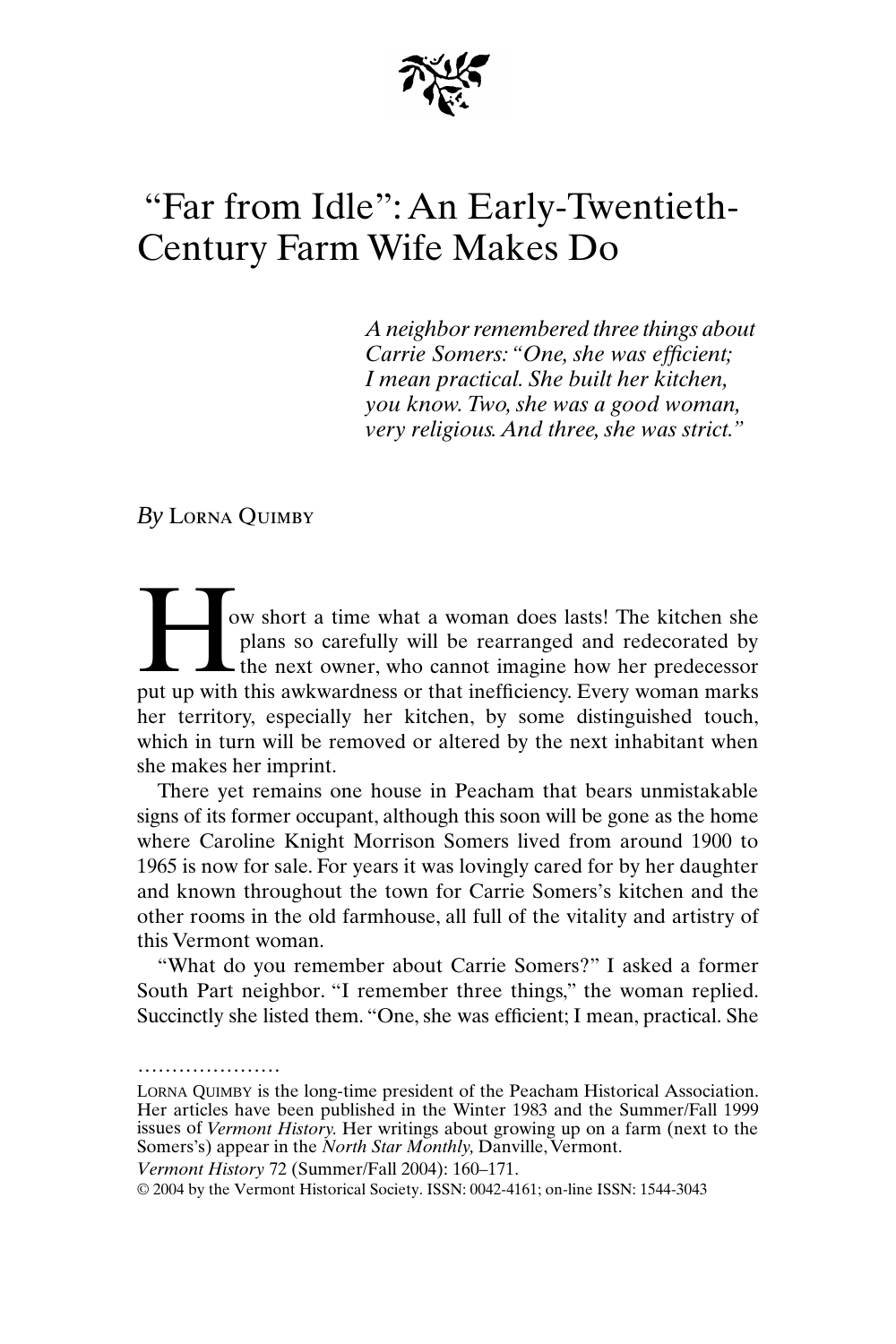

## "Far from Idle": An Early-Twentieth-Century Farm Wife Makes Do

*A neighbor remembered three things about Carrie Somers: "One, she was efficient; I mean practical. She built her kitchen, you know. Two, she was a good woman, very religious. And three, she was strict."*

*By* Lorna Quimby

.....................

ow short a time what a woman does lasts! The kitchen she plans so carefully will be rearranged and redecorated by the next owner, who cannot imagine how her predecessor ow short a time what a woman does lasts! The kitchen she plans so carefully will be rearranged and redecorated by the next owner, who cannot imagine how her predecessor put up with this awkwardness or that inefficiency. Ev her territory, especially her kitchen, by some distinguished touch, which in turn will be removed or altered by the next inhabitant when she makes her imprint.

There yet remains one house in Peacham that bears unmistakable signs of its former occupant, although this soon will be gone as the home where Caroline Knight Morrison Somers lived from around 1900 to 1965 is now for sale. For years it was lovingly cared for by her daughter and known throughout the town for Carrie Somers's kitchen and the other rooms in the old farmhouse, all full of the vitality and artistry of this Vermont woman.

"What do you remember about Carrie Somers?" I asked a former South Part neighbor. "I remember three things," the woman replied. Succinctly she listed them. "One, she was efficient; I mean, practical. She

*Vermont History* 72 (Summer/Fall 2004): 160–171.

© 2004 by the Vermont Historical Society. ISSN: 0042-4161; on-line ISSN: 1544-3043

LORNA QUIMBY is the long-time president of the Peacham Historical Association. Her articles have been published in the Winter 1983 and the Summer/Fall 1999 issues of *Vermont History.* Her writings about growing up on a farm (next to the Somers's) appear in the *North Star Monthly,* Danville, Vermont.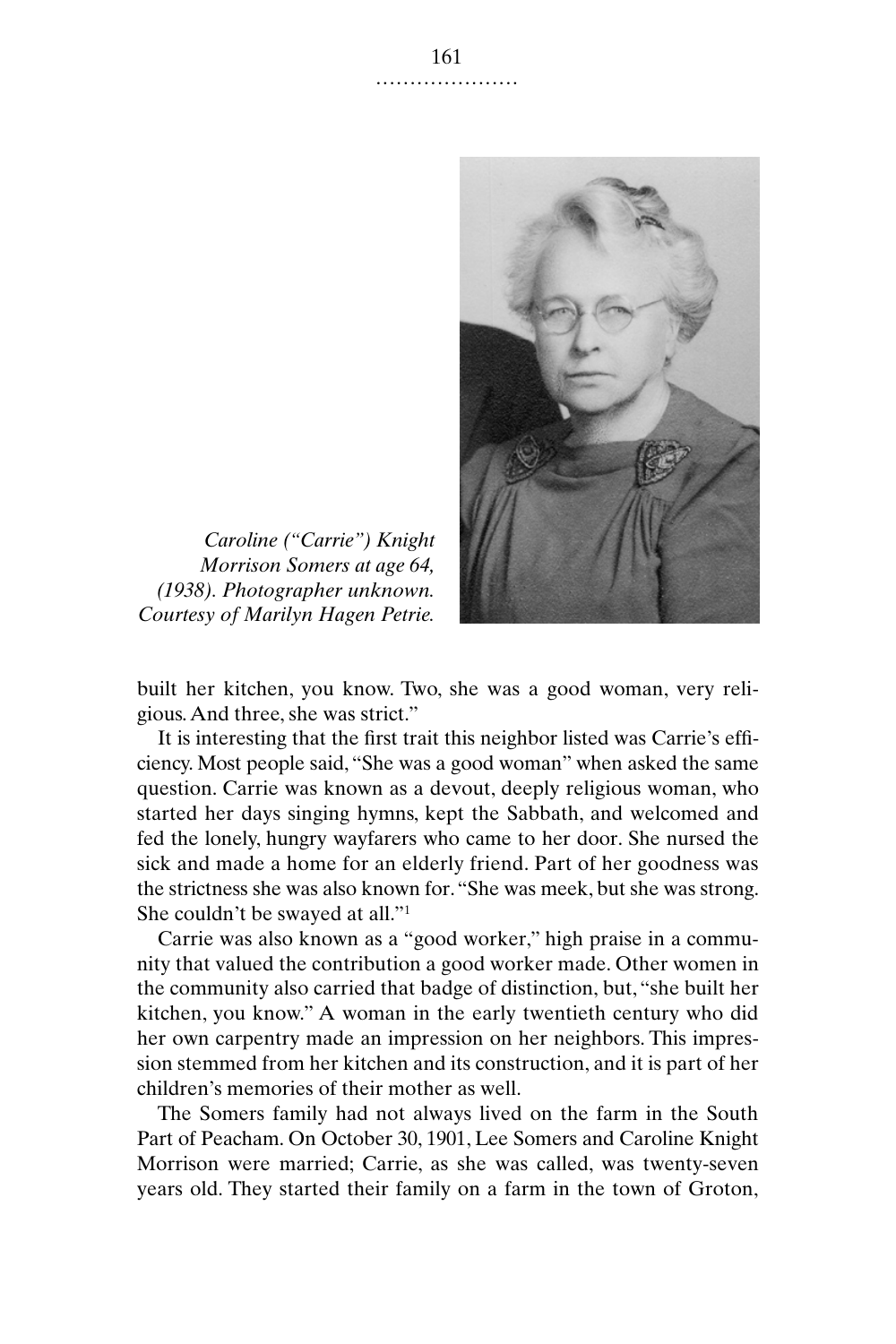

*Caroline ("Carrie") Knight Morrison Somers at age 64, (1938). Photographer unknown. Courtesy of Marilyn Hagen Petrie.*

built her kitchen, you know. Two, she was a good woman, very religious. And three, she was strict."

It is interesting that the first trait this neighbor listed was Carrie's efficiency. Most people said, "She was a good woman" when asked the same question. Carrie was known as a devout, deeply religious woman, who started her days singing hymns, kept the Sabbath, and welcomed and fed the lonely, hungry wayfarers who came to her door. She nursed the sick and made a home for an elderly friend. Part of her goodness was the strictness she was also known for. "She was meek, but she was strong. She couldn't be swayed at all."1

Carrie was also known as a "good worker," high praise in a community that valued the contribution a good worker made. Other women in the community also carried that badge of distinction, but, "she built her kitchen, you know." A woman in the early twentieth century who did her own carpentry made an impression on her neighbors. This impression stemmed from her kitchen and its construction, and it is part of her children's memories of their mother as well.

The Somers family had not always lived on the farm in the South Part of Peacham. On October 30, 1901, Lee Somers and Caroline Knight Morrison were married; Carrie, as she was called, was twenty-seven years old. They started their family on a farm in the town of Groton,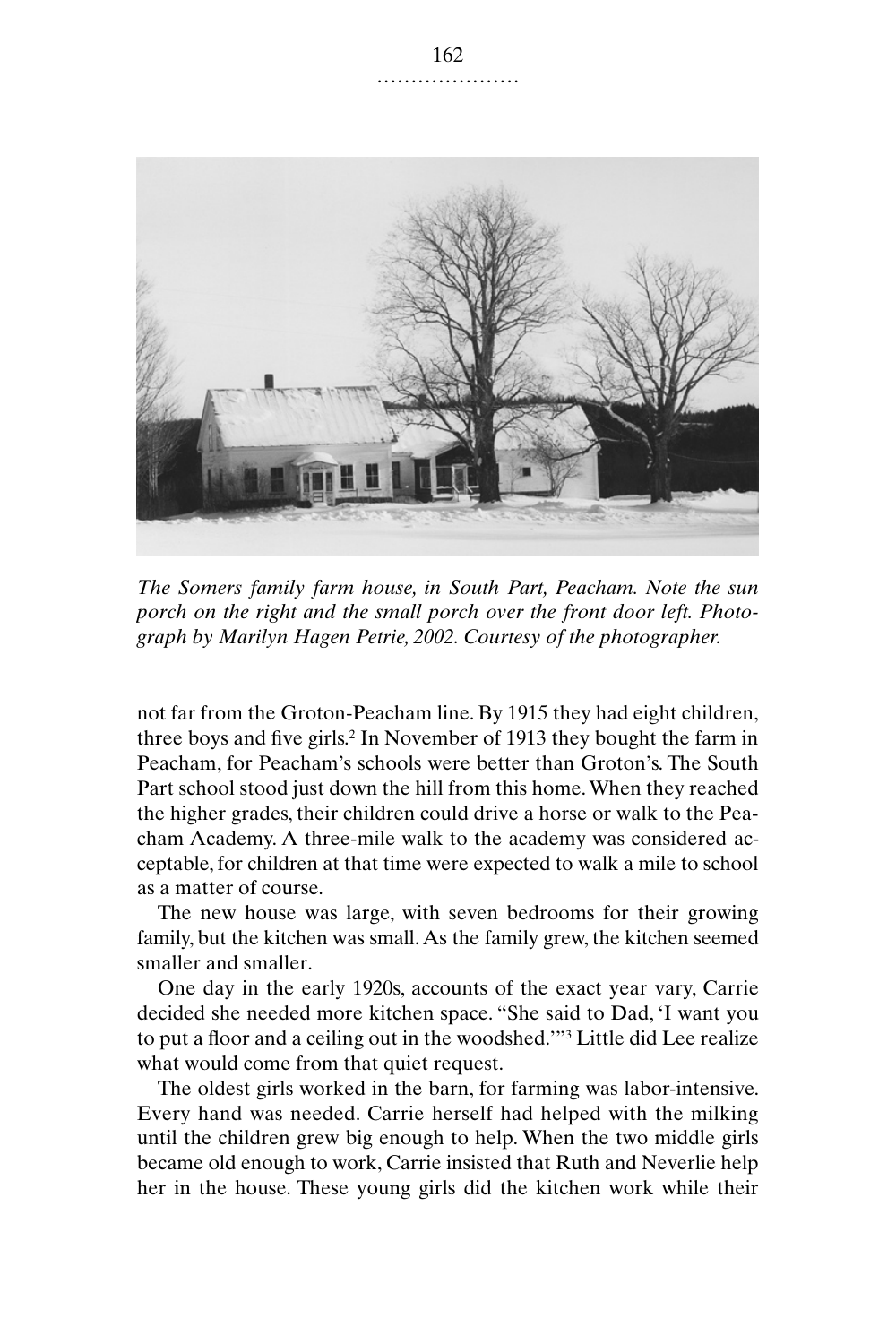

*The Somers family farm house, in South Part, Peacham. Note the sun porch on the right and the small porch over the front door left. Photograph by Marilyn Hagen Petrie, 2002. Courtesy of the photographer.*

not far from the Groton-Peacham line. By 1915 they had eight children, three boys and five girls.2 In November of 1913 they bought the farm in Peacham, for Peacham's schools were better than Groton's. The South Part school stood just down the hill from this home. When they reached the higher grades, their children could drive a horse or walk to the Peacham Academy. A three-mile walk to the academy was considered acceptable, for children at that time were expected to walk a mile to school as a matter of course.

The new house was large, with seven bedrooms for their growing family, but the kitchen was small. As the family grew, the kitchen seemed smaller and smaller.

One day in the early 1920s, accounts of the exact year vary, Carrie decided she needed more kitchen space. "She said to Dad, 'I want you to put a floor and a ceiling out in the woodshed.'"3 Little did Lee realize what would come from that quiet request.

The oldest girls worked in the barn, for farming was labor-intensive. Every hand was needed. Carrie herself had helped with the milking until the children grew big enough to help. When the two middle girls became old enough to work, Carrie insisted that Ruth and Neverlie help her in the house. These young girls did the kitchen work while their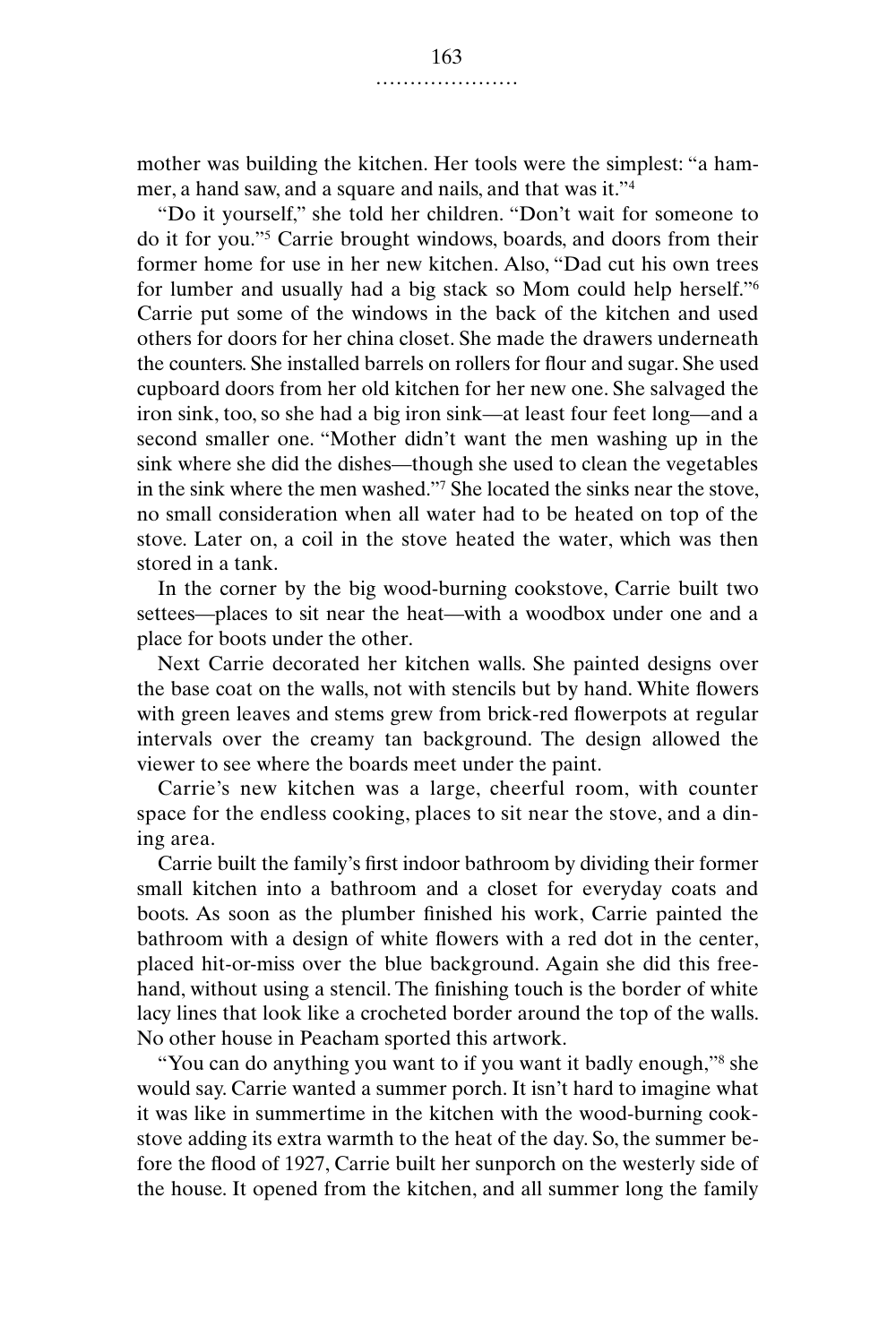mother was building the kitchen. Her tools were the simplest: "a hammer, a hand saw, and a square and nails, and that was it."4

"Do it yourself," she told her children. "Don't wait for someone to do it for you."5 Carrie brought windows, boards, and doors from their former home for use in her new kitchen. Also, "Dad cut his own trees for lumber and usually had a big stack so Mom could help herself."6 Carrie put some of the windows in the back of the kitchen and used others for doors for her china closet. She made the drawers underneath the counters. She installed barrels on rollers for flour and sugar. She used cupboard doors from her old kitchen for her new one. She salvaged the iron sink, too, so she had a big iron sink—at least four feet long—and a second smaller one. "Mother didn't want the men washing up in the sink where she did the dishes—though she used to clean the vegetables in the sink where the men washed."7 She located the sinks near the stove, no small consideration when all water had to be heated on top of the stove. Later on, a coil in the stove heated the water, which was then stored in a tank.

In the corner by the big wood-burning cookstove, Carrie built two settees—places to sit near the heat—with a woodbox under one and a place for boots under the other.

Next Carrie decorated her kitchen walls. She painted designs over the base coat on the walls, not with stencils but by hand. White flowers with green leaves and stems grew from brick-red flowerpots at regular intervals over the creamy tan background. The design allowed the viewer to see where the boards meet under the paint.

Carrie's new kitchen was a large, cheerful room, with counter space for the endless cooking, places to sit near the stove, and a dining area.

Carrie built the family's first indoor bathroom by dividing their former small kitchen into a bathroom and a closet for everyday coats and boots. As soon as the plumber finished his work, Carrie painted the bathroom with a design of white flowers with a red dot in the center, placed hit-or-miss over the blue background. Again she did this freehand, without using a stencil. The finishing touch is the border of white lacy lines that look like a crocheted border around the top of the walls. No other house in Peacham sported this artwork.

"You can do anything you want to if you want it badly enough,"8 she would say. Carrie wanted a summer porch. It isn't hard to imagine what it was like in summertime in the kitchen with the wood-burning cookstove adding its extra warmth to the heat of the day. So, the summer before the flood of 1927, Carrie built her sunporch on the westerly side of the house. It opened from the kitchen, and all summer long the family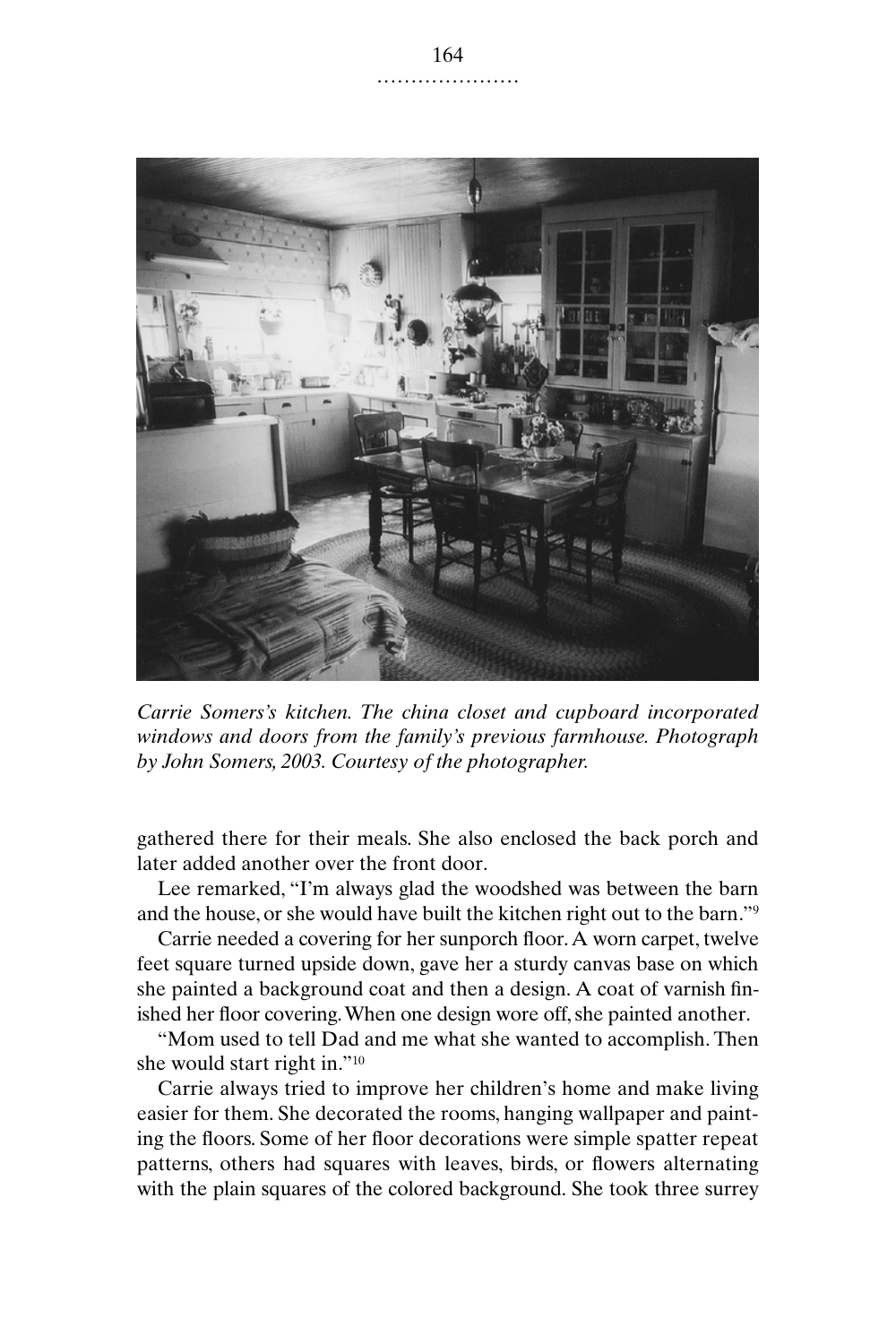

*Carrie Somers's kitchen. The china closet and cupboard incorporated windows and doors from the family's previous farmhouse. Photograph by John Somers, 2003. Courtesy of the photographer.*

gathered there for their meals. She also enclosed the back porch and later added another over the front door.

Lee remarked, "I'm always glad the woodshed was between the barn and the house, or she would have built the kitchen right out to the barn."9

Carrie needed a covering for her sunporch floor. A worn carpet, twelve feet square turned upside down, gave her a sturdy canvas base on which she painted a background coat and then a design. A coat of varnish finished her floor covering. When one design wore off, she painted another.

"Mom used to tell Dad and me what she wanted to accomplish. Then she would start right in."10

Carrie always tried to improve her children's home and make living easier for them. She decorated the rooms, hanging wallpaper and painting the floors. Some of her floor decorations were simple spatter repeat patterns, others had squares with leaves, birds, or flowers alternating with the plain squares of the colored background. She took three surrey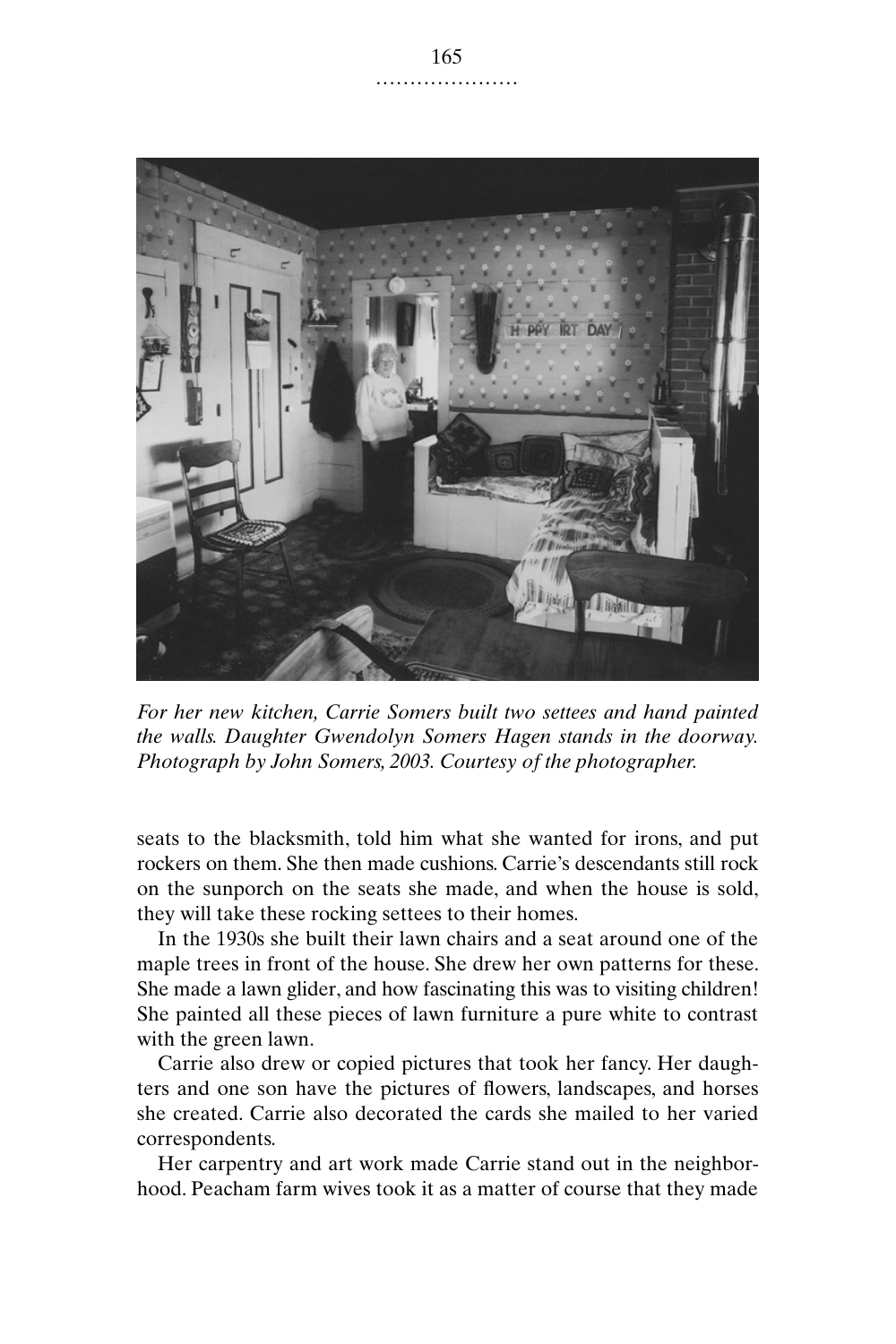

*For her new kitchen, Carrie Somers built two settees and hand painted the walls. Daughter Gwendolyn Somers Hagen stands in the doorway. Photograph by John Somers, 2003. Courtesy of the photographer.*

seats to the blacksmith, told him what she wanted for irons, and put rockers on them. She then made cushions. Carrie's descendants still rock on the sunporch on the seats she made, and when the house is sold, they will take these rocking settees to their homes.

In the 1930s she built their lawn chairs and a seat around one of the maple trees in front of the house. She drew her own patterns for these. She made a lawn glider, and how fascinating this was to visiting children! She painted all these pieces of lawn furniture a pure white to contrast with the green lawn.

Carrie also drew or copied pictures that took her fancy. Her daughters and one son have the pictures of flowers, landscapes, and horses she created. Carrie also decorated the cards she mailed to her varied correspondents.

Her carpentry and art work made Carrie stand out in the neighborhood. Peacham farm wives took it as a matter of course that they made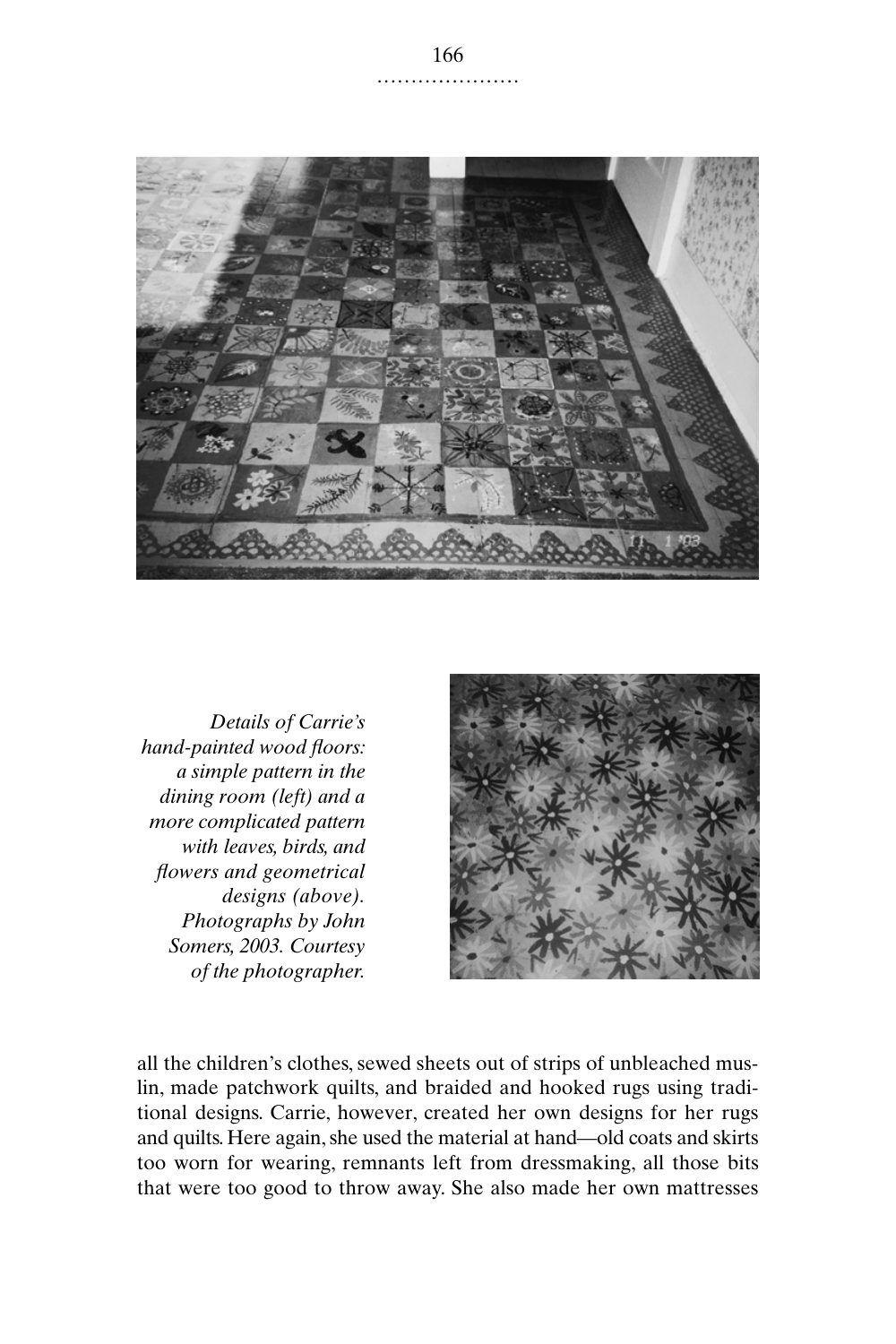

*Details of Carrie's hand-painted wood floors: a simple pattern in the dining room (left) and a more complicated pattern with leaves, birds, and flowers and geometrical designs (above). Photographs by John Somers, 2003. Courtesy of the photographer.*



all the children's clothes, sewed sheets out of strips of unbleached muslin, made patchwork quilts, and braided and hooked rugs using traditional designs. Carrie, however, created her own designs for her rugs and quilts. Here again, she used the material at hand—old coats and skirts too worn for wearing, remnants left from dressmaking, all those bits that were too good to throw away. She also made her own mattresses

.....................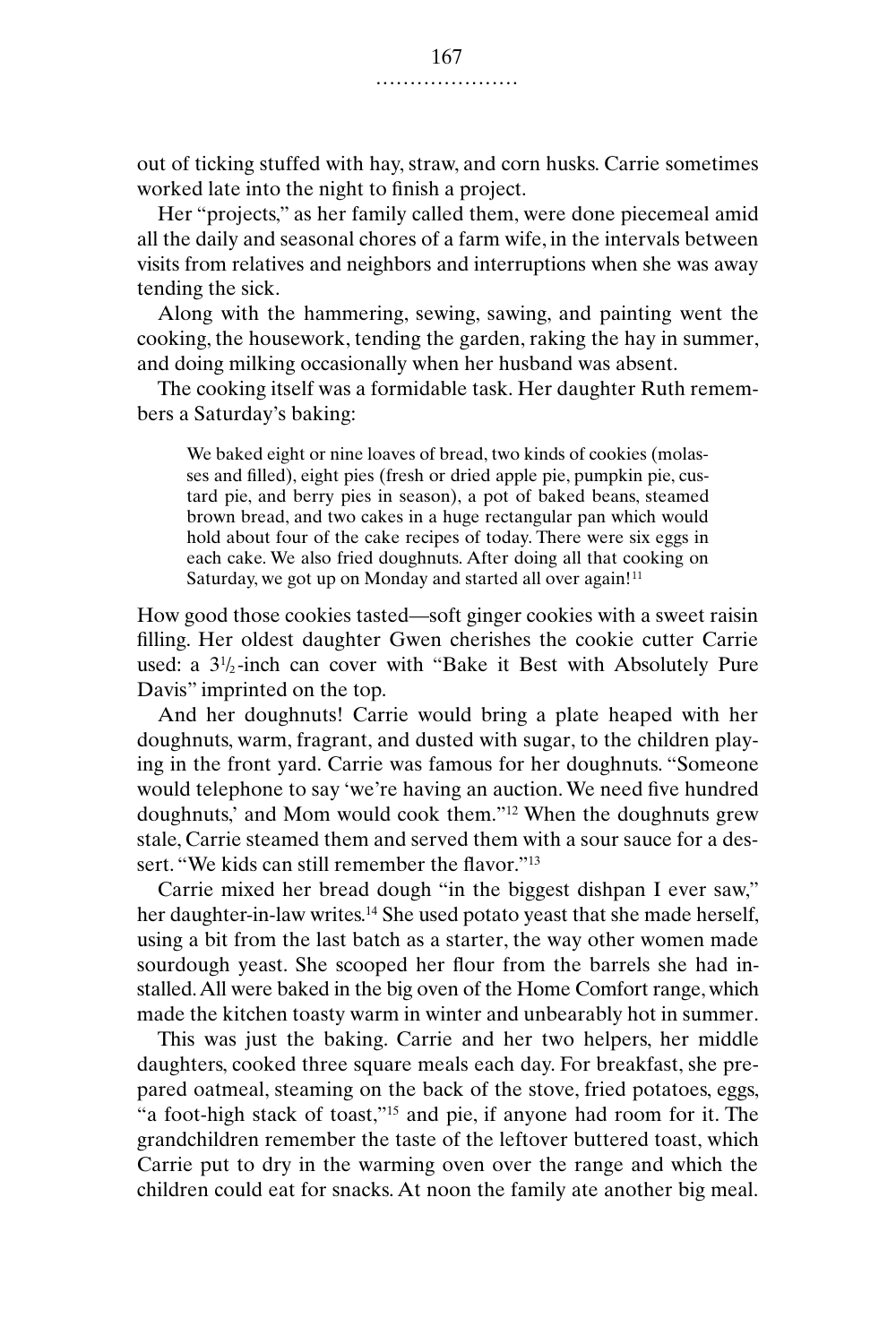out of ticking stuffed with hay, straw, and corn husks. Carrie sometimes worked late into the night to finish a project.

Her "projects," as her family called them, were done piecemeal amid all the daily and seasonal chores of a farm wife, in the intervals between visits from relatives and neighbors and interruptions when she was away tending the sick.

Along with the hammering, sewing, sawing, and painting went the cooking, the housework, tending the garden, raking the hay in summer, and doing milking occasionally when her husband was absent.

The cooking itself was a formidable task. Her daughter Ruth remembers a Saturday's baking:

We baked eight or nine loaves of bread, two kinds of cookies (molasses and filled), eight pies (fresh or dried apple pie, pumpkin pie, custard pie, and berry pies in season), a pot of baked beans, steamed brown bread, and two cakes in a huge rectangular pan which would hold about four of the cake recipes of today. There were six eggs in each cake. We also fried doughnuts. After doing all that cooking on Saturday, we got up on Monday and started all over again!<sup>11</sup>

How good those cookies tasted—soft ginger cookies with a sweet raisin filling. Her oldest daughter Gwen cherishes the cookie cutter Carrie used: a 31 /<sup>2</sup> -inch can cover with "Bake it Best with Absolutely Pure Davis" imprinted on the top.

And her doughnuts! Carrie would bring a plate heaped with her doughnuts, warm, fragrant, and dusted with sugar, to the children playing in the front yard. Carrie was famous for her doughnuts. "Someone would telephone to say 'we're having an auction. We need five hundred doughnuts,' and Mom would cook them."12 When the doughnuts grew stale, Carrie steamed them and served them with a sour sauce for a dessert. "We kids can still remember the flavor."13

Carrie mixed her bread dough "in the biggest dishpan I ever saw," her daughter-in-law writes.<sup>14</sup> She used potato yeast that she made herself, using a bit from the last batch as a starter, the way other women made sourdough yeast. She scooped her flour from the barrels she had installed. All were baked in the big oven of the Home Comfort range, which made the kitchen toasty warm in winter and unbearably hot in summer.

This was just the baking. Carrie and her two helpers, her middle daughters, cooked three square meals each day. For breakfast, she prepared oatmeal, steaming on the back of the stove, fried potatoes, eggs, "a foot-high stack of toast,"15 and pie, if anyone had room for it. The grandchildren remember the taste of the leftover buttered toast, which Carrie put to dry in the warming oven over the range and which the children could eat for snacks. At noon the family ate another big meal.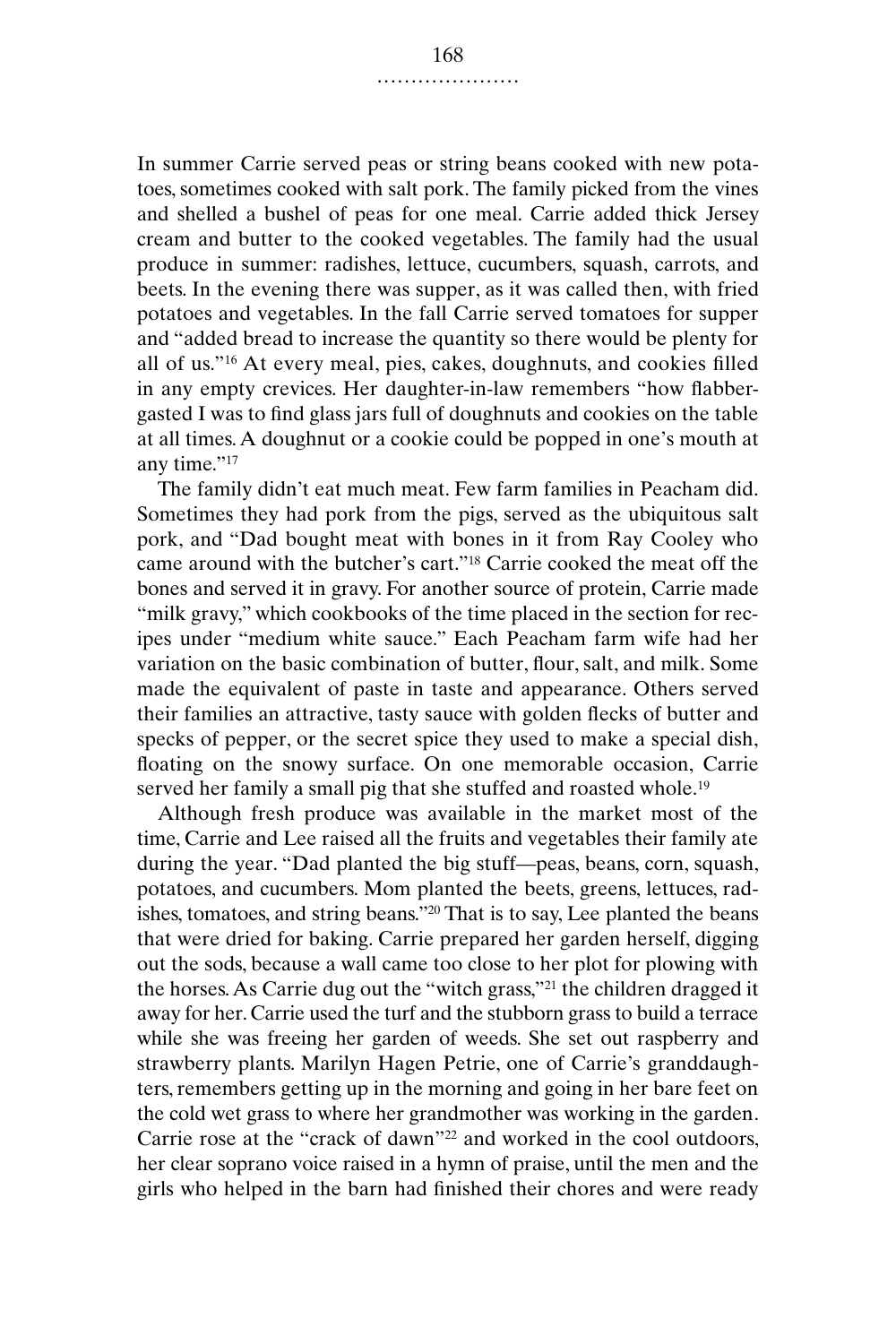In summer Carrie served peas or string beans cooked with new potatoes, sometimes cooked with salt pork. The family picked from the vines and shelled a bushel of peas for one meal. Carrie added thick Jersey cream and butter to the cooked vegetables. The family had the usual produce in summer: radishes, lettuce, cucumbers, squash, carrots, and beets. In the evening there was supper, as it was called then, with fried potatoes and vegetables. In the fall Carrie served tomatoes for supper and "added bread to increase the quantity so there would be plenty for all of us."16 At every meal, pies, cakes, doughnuts, and cookies filled in any empty crevices. Her daughter-in-law remembers "how flabbergasted I was to find glass jars full of doughnuts and cookies on the table at all times. A doughnut or a cookie could be popped in one's mouth at any time."<sup>17</sup>

The family didn't eat much meat. Few farm families in Peacham did. Sometimes they had pork from the pigs, served as the ubiquitous salt pork, and "Dad bought meat with bones in it from Ray Cooley who came around with the butcher's cart."18 Carrie cooked the meat off the bones and served it in gravy. For another source of protein, Carrie made "milk gravy," which cookbooks of the time placed in the section for recipes under "medium white sauce." Each Peacham farm wife had her variation on the basic combination of butter, flour, salt, and milk. Some made the equivalent of paste in taste and appearance. Others served their families an attractive, tasty sauce with golden flecks of butter and specks of pepper, or the secret spice they used to make a special dish, floating on the snowy surface. On one memorable occasion, Carrie served her family a small pig that she stuffed and roasted whole.<sup>19</sup>

Although fresh produce was available in the market most of the time, Carrie and Lee raised all the fruits and vegetables their family ate during the year. "Dad planted the big stuff—peas, beans, corn, squash, potatoes, and cucumbers. Mom planted the beets, greens, lettuces, radishes, tomatoes, and string beans."20 That is to say, Lee planted the beans that were dried for baking. Carrie prepared her garden herself, digging out the sods, because a wall came too close to her plot for plowing with the horses. As Carrie dug out the "witch grass,"21 the children dragged it away for her. Carrie used the turf and the stubborn grass to build a terrace while she was freeing her garden of weeds. She set out raspberry and strawberry plants. Marilyn Hagen Petrie, one of Carrie's granddaughters, remembers getting up in the morning and going in her bare feet on the cold wet grass to where her grandmother was working in the garden. Carrie rose at the "crack of dawn"<sup>22</sup> and worked in the cool outdoors, her clear soprano voice raised in a hymn of praise, until the men and the girls who helped in the barn had finished their chores and were ready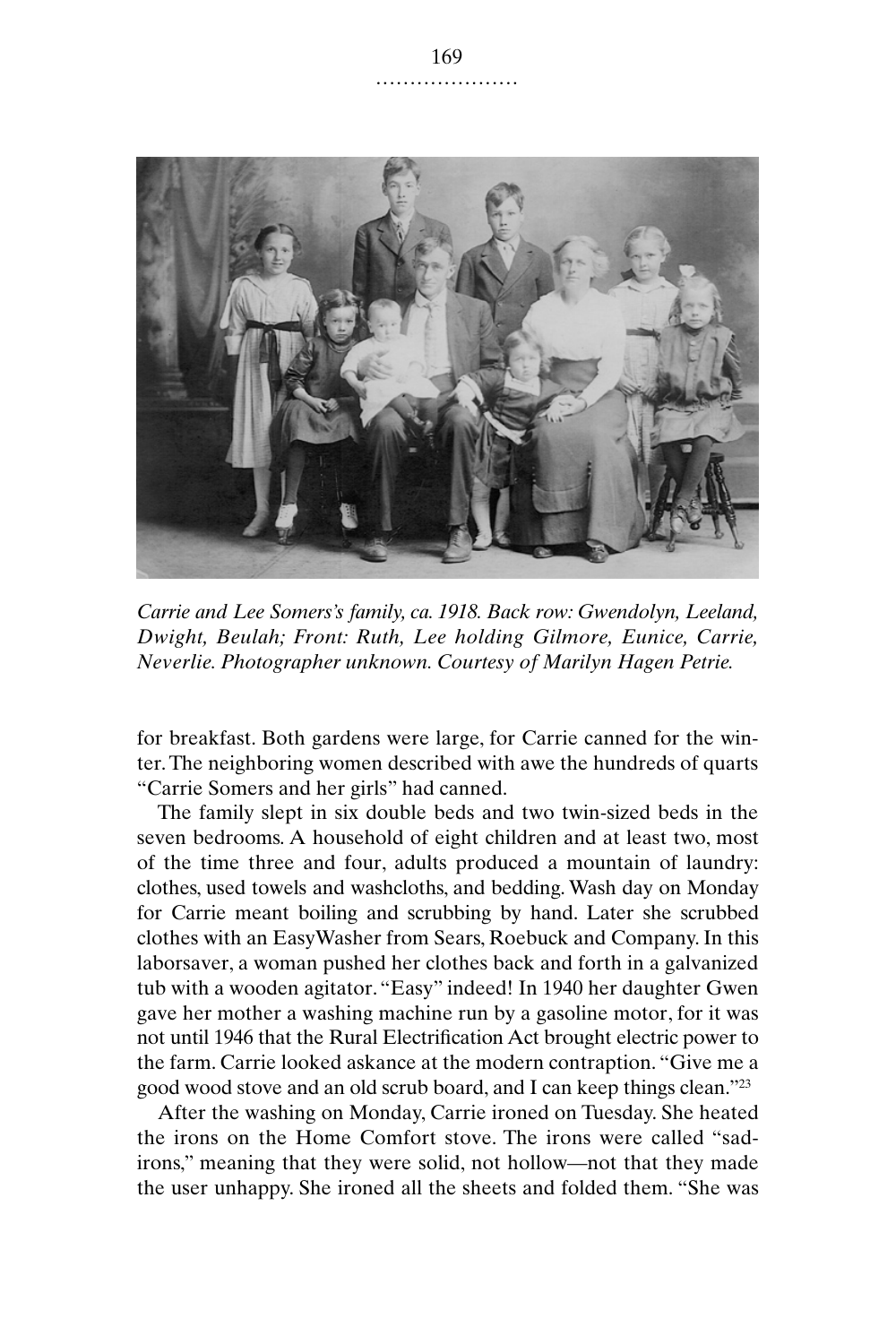

*Carrie and Lee Somers's family, ca. 1918. Back row: Gwendolyn, Leeland, Dwight, Beulah; Front: Ruth, Lee holding Gilmore, Eunice, Carrie, Neverlie. Photographer unknown. Courtesy of Marilyn Hagen Petrie.*

for breakfast. Both gardens were large, for Carrie canned for the winter. The neighboring women described with awe the hundreds of quarts "Carrie Somers and her girls" had canned.

The family slept in six double beds and two twin-sized beds in the seven bedrooms. A household of eight children and at least two, most of the time three and four, adults produced a mountain of laundry: clothes, used towels and washcloths, and bedding. Wash day on Monday for Carrie meant boiling and scrubbing by hand. Later she scrubbed clothes with an EasyWasher from Sears, Roebuck and Company. In this laborsaver, a woman pushed her clothes back and forth in a galvanized tub with a wooden agitator. "Easy" indeed! In 1940 her daughter Gwen gave her mother a washing machine run by a gasoline motor, for it was not until 1946 that the Rural Electrification Act brought electric power to the farm. Carrie looked askance at the modern contraption. "Give me a good wood stove and an old scrub board, and I can keep things clean."23

After the washing on Monday, Carrie ironed on Tuesday. She heated the irons on the Home Comfort stove. The irons were called "sadirons," meaning that they were solid, not hollow—not that they made the user unhappy. She ironed all the sheets and folded them. "She was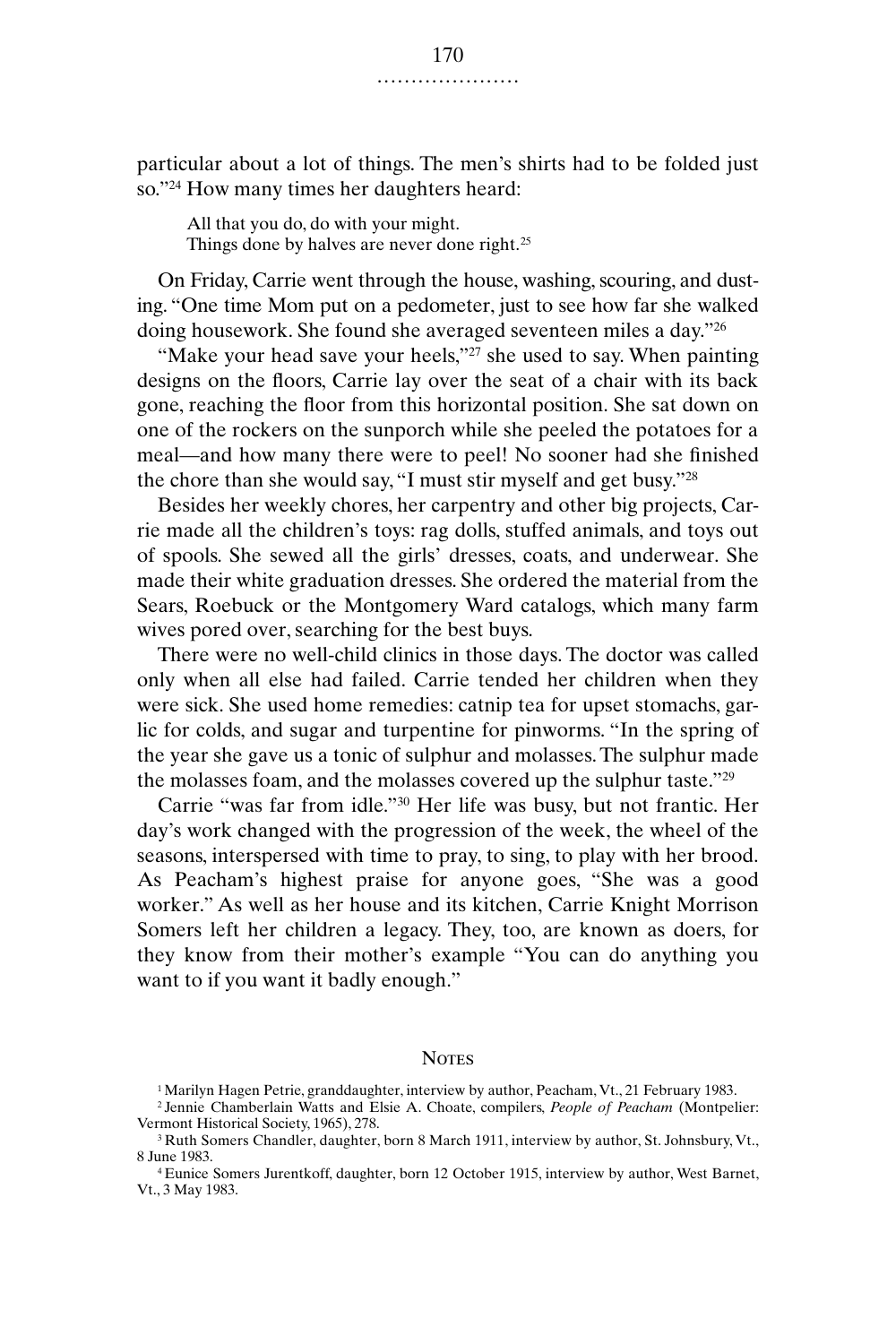particular about a lot of things. The men's shirts had to be folded just so."24 How many times her daughters heard:

All that you do, do with your might. Things done by halves are never done right.<sup>25</sup>

On Friday, Carrie went through the house, washing, scouring, and dusting. "One time Mom put on a pedometer, just to see how far she walked doing housework. She found she averaged seventeen miles a day."26

"Make your head save your heels,"<sup>27</sup> she used to say. When painting designs on the floors, Carrie lay over the seat of a chair with its back gone, reaching the floor from this horizontal position. She sat down on one of the rockers on the sunporch while she peeled the potatoes for a meal—and how many there were to peel! No sooner had she finished the chore than she would say, "I must stir myself and get busy."28

Besides her weekly chores, her carpentry and other big projects, Carrie made all the children's toys: rag dolls, stuffed animals, and toys out of spools. She sewed all the girls' dresses, coats, and underwear. She made their white graduation dresses. She ordered the material from the Sears, Roebuck or the Montgomery Ward catalogs, which many farm wives pored over, searching for the best buys.

There were no well-child clinics in those days. The doctor was called only when all else had failed. Carrie tended her children when they were sick. She used home remedies: catnip tea for upset stomachs, garlic for colds, and sugar and turpentine for pinworms. "In the spring of the year she gave us a tonic of sulphur and molasses. The sulphur made the molasses foam, and the molasses covered up the sulphur taste."29

Carrie "was far from idle."30 Her life was busy, but not frantic. Her day's work changed with the progression of the week, the wheel of the seasons, interspersed with time to pray, to sing, to play with her brood. As Peacham's highest praise for anyone goes, "She was a good worker." As well as her house and its kitchen, Carrie Knight Morrison Somers left her children a legacy. They, too, are known as doers, for they know from their mother's example "You can do anything you want to if you want it badly enough."

## **NOTES**

<sup>&</sup>lt;sup>1</sup> Marilyn Hagen Petrie, granddaughter, interview by author, Peacham, Vt., 21 February 1983.

<sup>2</sup> Jennie Chamberlain Watts and Elsie A. Choate, compilers, *People of Peacham* (Montpelier: Vermont Historical Society, 1965), 278.

<sup>&</sup>lt;sup>3</sup> Ruth Somers Chandler, daughter, born 8 March 1911, interview by author, St. Johnsbury, Vt., 8 June 1983.

<sup>4</sup> Eunice Somers Jurentkoff, daughter, born 12 October 1915, interview by author, West Barnet, Vt., 3 May 1983.